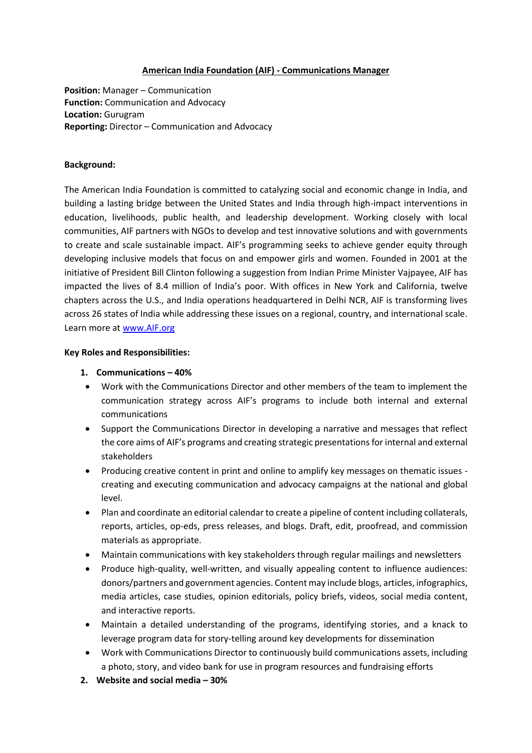#### **American India Foundation (AIF) - Communications Manager**

**Position:** Manager – Communication **Function:** Communication and Advocacy **Location:** Gurugram **Reporting:** Director – Communication and Advocacy

### **Background:**

The American India Foundation is committed to catalyzing social and economic change in India, and building a lasting bridge between the United States and India through high-impact interventions in education, livelihoods, public health, and leadership development. Working closely with local communities, AIF partners with NGOs to develop and test innovative solutions and with governments to create and scale sustainable impact. AIF's programming seeks to achieve gender equity through developing inclusive models that focus on and empower girls and women. Founded in 2001 at the initiative of President Bill Clinton following a suggestion from Indian Prime Minister Vajpayee, AIF has impacted the lives of 8.4 million of India's poor. With offices in New York and California, twelve chapters across the U.S., and India operations headquartered in Delhi NCR, AIF is transforming lives across 26 states of India while addressing these issues on a regional, country, and international scale. Learn more at [www.AIF.org](http://www.aif.org/)

#### **Key Roles and Responsibilities:**

### **1. Communications – 40%**

- Work with the Communications Director and other members of the team to implement the communication strategy across AIF's programs to include both internal and external communications
- Support the Communications Director in developing a narrative and messages that reflect the core aims of AIF's programs and creating strategic presentations for internal and external stakeholders
- Producing creative content in print and online to amplify key messages on thematic issues creating and executing communication and advocacy campaigns at the national and global level.
- Plan and coordinate an editorial calendar to create a pipeline of content including collaterals, reports, articles, op-eds, press releases, and blogs. Draft, edit, proofread, and commission materials as appropriate.
- Maintain communications with key stakeholders through regular mailings and newsletters
- Produce high-quality, well-written, and visually appealing content to influence audiences: donors/partners and government agencies. Content may include blogs, articles, infographics, media articles, case studies, opinion editorials, policy briefs, videos, social media content, and interactive reports.
- Maintain a detailed understanding of the programs, identifying stories, and a knack to leverage program data for story-telling around key developments for dissemination
- Work with Communications Director to continuously build communications assets, including a photo, story, and video bank for use in program resources and fundraising efforts
- **2. Website and social media – 30%**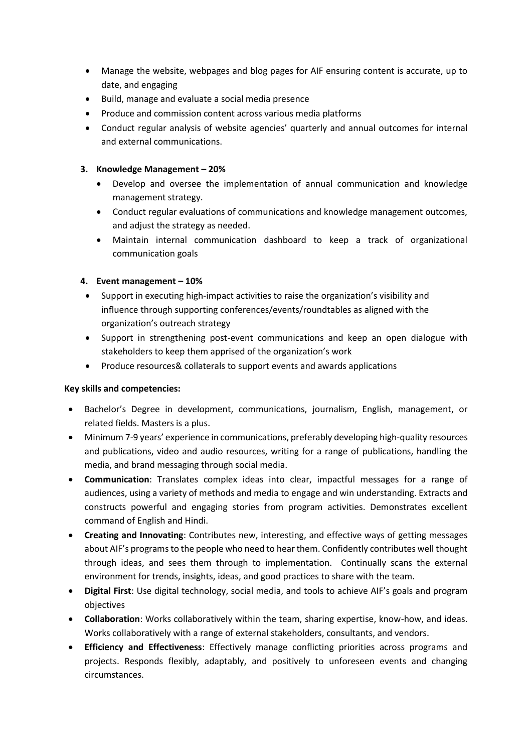- Manage the website, webpages and blog pages for AIF ensuring content is accurate, up to date, and engaging
- Build, manage and evaluate a social media presence
- Produce and commission content across various media platforms
- Conduct regular analysis of website agencies' quarterly and annual outcomes for internal and external communications.

# **3. Knowledge Management – 20%**

- Develop and oversee the implementation of annual communication and knowledge management strategy.
- Conduct regular evaluations of communications and knowledge management outcomes, and adjust the strategy as needed.
- Maintain internal communication dashboard to keep a track of organizational communication goals

# **4. Event management – 10%**

- Support in executing high-impact activities to raise the organization's visibility and influence through supporting conferences/events/roundtables as aligned with the organization's outreach strategy
- Support in strengthening post-event communications and keep an open dialogue with stakeholders to keep them apprised of the organization's work
- Produce resources& collaterals to support events and awards applications

## **Key skills and competencies:**

- Bachelor's Degree in development, communications, journalism, English, management, or related fields. Masters is a plus.
- Minimum 7-9 years' experience in communications, preferably developing high-quality resources and publications, video and audio resources, writing for a range of publications, handling the media, and brand messaging through social media.
- **Communication**: Translates complex ideas into clear, impactful messages for a range of audiences, using a variety of methods and media to engage and win understanding. Extracts and constructs powerful and engaging stories from program activities. Demonstrates excellent command of English and Hindi.
- **Creating and Innovating**: Contributes new, interesting, and effective ways of getting messages about AIF's programs to the people who need to hear them. Confidently contributes well thought through ideas, and sees them through to implementation. Continually scans the external environment for trends, insights, ideas, and good practices to share with the team.
- **Digital First**: Use digital technology, social media, and tools to achieve AIF's goals and program objectives
- **Collaboration**: Works collaboratively within the team, sharing expertise, know-how, and ideas. Works collaboratively with a range of external stakeholders, consultants, and vendors.
- **Efficiency and Effectiveness**: Effectively manage conflicting priorities across programs and projects. Responds flexibly, adaptably, and positively to unforeseen events and changing circumstances.